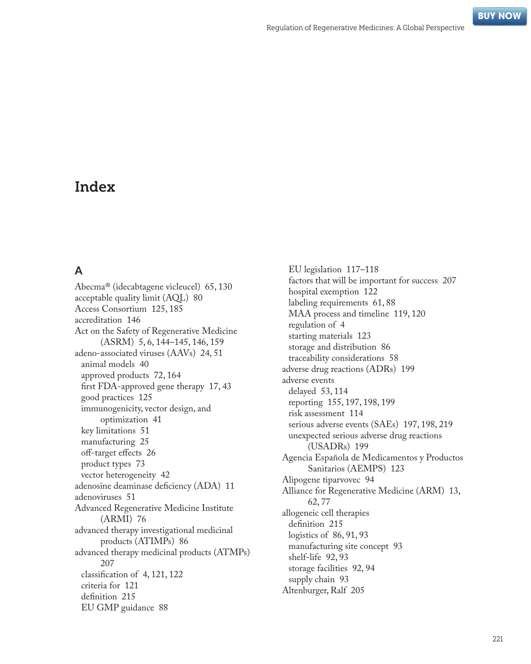# Index

### **A**

Abecma® (idecabtagene vicleucel) [65](#page--1-0), [130](#page--1-0) acceptable quality limit (AQL) [80](#page--1-0) Access Consortium [125](#page--1-0), [185](#page--1-0) accreditation [146](#page--1-0) Act on the Safety of Regenerative Medicine (ASRM) [5](#page--1-0), [6, 144–145](#page--1-0), [146,](#page--1-0) [159](#page--1-0) adeno-associated viruses (AAVs) [24](#page--1-0), [51](#page--1-0) animal models [40](#page--1-0) approved products [72, 164](#page--1-0) first FDA-approved gene therapy [17, 43](#page--1-0) good practices [125](#page--1-0) immunogenicity, vector design, and optimization [41](#page--1-0) key limitations [51](#page--1-0) manufacturing [25](#page--1-0) off-target effects [26](#page--1-0) product types [73](#page--1-0) vector heterogeneity [42](#page--1-0) adenosine deaminase deficiency (ADA) [11](#page--1-0) adenoviruses [51](#page--1-0) Advanced Regenerative Medicine Institute (ARMI) [76](#page--1-0) advanced therapy investigational medicinal products (ATIMPs) [86](#page--1-0) advanced therapy medicinal products (ATMPs) [207](#page--1-0) classification of [4, 121](#page--1-0), [122](#page--1-0) criteria for [121](#page--1-0) definition [215](#page--1-0) EU GMP guidance [88](#page--1-0)

EU legislation [117–118](#page--1-0) factors that will be important for success [207](#page--1-0) hospital exemption [122](#page--1-0) labeling requirements [61](#page--1-0), [88](#page--1-0) MAA process and timeline [119](#page--1-0), [120](#page--1-0) regulation of [4](#page--1-0) starting materials [123](#page--1-0) storage and distribution [86](#page--1-0) traceability considerations [58](#page--1-0) adverse drug reactions (ADRs) [199](#page--1-0) adverse events delayed [53](#page--1-0), [114](#page--1-0) reporting [155](#page--1-0), [197, 198](#page--1-0), [199](#page--1-0) risk assessment [114](#page--1-0) serious adverse events (SAEs) [197](#page--1-0), [198, 219](#page--1-0) unexpected serious adverse drug reactions (USADRs) [199](#page--1-0) Agencia Española de Medicamentos y Productos Sanitarios (AEMPS) [123](#page--1-0) Alipogene tiparvovec [94](#page--1-0) Alliance for Regenerative Medicine (ARM) [13](#page--1-0), [62](#page--1-0), [77](#page--1-0) allogeneic cell therapies definition [215](#page--1-0) logistics of [86, 91](#page--1-0), [93](#page--1-0) manufacturing site concept [93](#page--1-0) shelf-life [92, 93](#page--1-0) storage facilities [92](#page--1-0), [94](#page--1-0) supply chain [93](#page--1-0) Altenburger, Ralf [205](#page--1-0)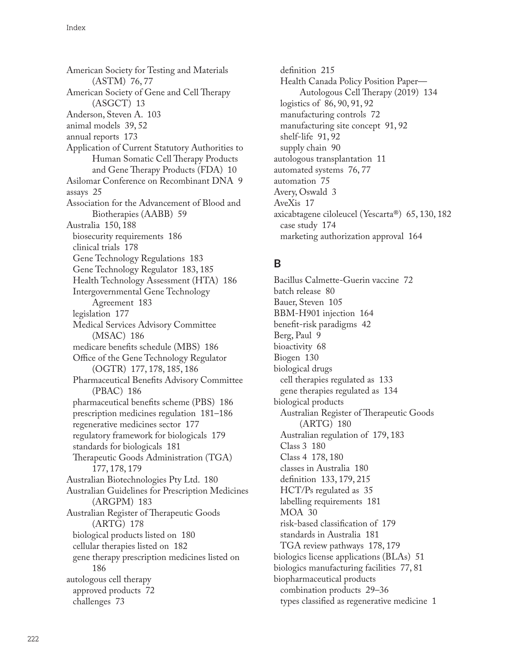American Society for Testing and Materials (ASTM) [76,](#page--1-0) [77](#page--1-0) American Society of Gene and Cell Therapy (ASGCT) [13](#page--1-0) Anderson, Steven A. [103](#page--1-0) animal models [39](#page--1-0), [52](#page--1-0) annual reports [173](#page--1-0) Application of Current Statutory Authorities to Human Somatic Cell Therapy Products and Gene Therapy Products (FDA) [10](#page--1-0) Asilomar Conference on Recombinant DNA [9](#page--1-0) assays [25](#page--1-0) Association for the Advancement of Blood and Biotherapies (AABB) [59](#page--1-0) Australia [150](#page--1-0), [188](#page--1-0) biosecurity requirements [186](#page--1-0) clinical trials [178](#page--1-0) Gene Technology Regulations [183](#page--1-0) Gene Technology Regulator [183,](#page--1-0) [185](#page--1-0) Health Technology Assessment (HTA) [186](#page--1-0) Intergovernmental Gene Technology Agreement [183](#page--1-0) legislation [177](#page--1-0) Medical Services Advisory Committee (MSAC) [186](#page--1-0) medicare benefits schedule (MBS) [186](#page--1-0) Office of the Gene Technology Regulator (OGTR) [177](#page--1-0), [178](#page--1-0), [185, 186](#page--1-0) Pharmaceutical Benefits Advisory Committee (PBAC) [186](#page--1-0) pharmaceutical benefits scheme (PBS) [186](#page--1-0) prescription medicines regulation [181–186](#page--1-0) regenerative medicines sector [177](#page--1-0) regulatory framework for biologicals [179](#page--1-0) standards for biologicals [181](#page--1-0) Therapeutic Goods Administration (TGA) [177](#page--1-0), [178](#page--1-0), [179](#page--1-0) Australian Biotechnologies Pty Ltd. [180](#page--1-0) Australian Guidelines for Prescription Medicines (ARGPM) [183](#page--1-0) Australian Register of Therapeutic Goods (ARTG) [178](#page--1-0) biological products listed on [180](#page--1-0) cellular therapies listed on [182](#page--1-0) gene therapy prescription medicines listed on [186](#page--1-0) autologous cell therapy approved products [72](#page--1-0) challenges [73](#page--1-0)

definition [215](#page--1-0) Health Canada Policy Position Paper— Autologous Cell Therapy (2019) [134](#page--1-0) logistics of [86, 90](#page--1-0), [91,](#page--1-0) [92](#page--1-0) manufacturing controls [72](#page--1-0) manufacturing site concept [91, 92](#page--1-0) shelf-life [91, 92](#page--1-0) supply chain [90](#page--1-0) autologous transplantation [11](#page--1-0) automated systems [76, 77](#page--1-0) automation [75](#page--1-0) Avery, Oswald [3](#page--1-0) AveXis [17](#page--1-0) axicabtagene ciloleucel (Yescarta®) [65, 130](#page--1-0), [182](#page--1-0) case study [174](#page--1-0) marketing authorization approval [164](#page--1-0)

## **B**

Bacillus Calmette-Guerin vaccine [72](#page--1-0) batch release [80](#page--1-0) Bauer, Steven [105](#page--1-0) BBM-H901 injection [164](#page--1-0) benefit-risk paradigms [42](#page--1-0) Berg, Paul [9](#page--1-0) bioactivity [68](#page--1-0) Biogen [130](#page--1-0) biological drugs cell therapies regulated as [133](#page--1-0) gene therapies regulated as [134](#page--1-0) biological products Australian Register of Therapeutic Goods (ARTG) [180](#page--1-0) Australian regulation of [179](#page--1-0), [183](#page--1-0) Class 3 [180](#page--1-0) Class 4 [178](#page--1-0), [180](#page--1-0) classes in Australia [180](#page--1-0) definition [133](#page--1-0), [179](#page--1-0), [215](#page--1-0) HCT/Ps regulated as [35](#page--1-0) labelling requirements [181](#page--1-0) MOA [30](#page--1-0) risk-based classification of [179](#page--1-0) standards in Australia [181](#page--1-0) TGA review pathways [178, 179](#page--1-0) biologics license applications (BLAs) [51](#page--1-0) biologics manufacturing facilities [77](#page--1-0), [81](#page--1-0) biopharmaceutical products combination products [29–36](#page--1-0) types classified as regenerative medicine [1](#page--1-0)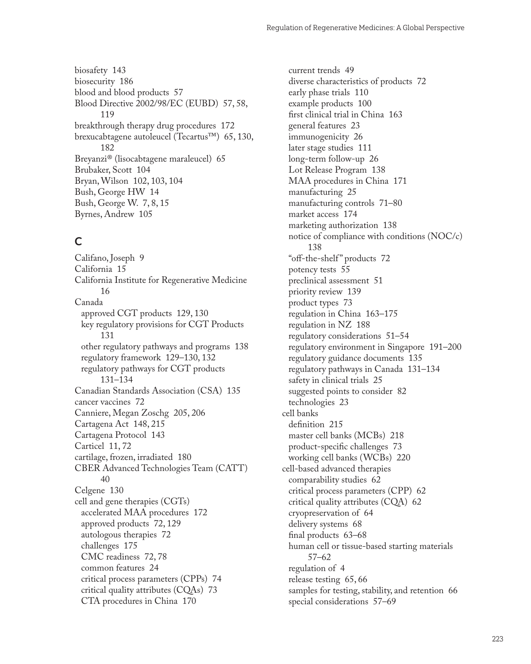biosafety [143](#page--1-0) biosecurity [186](#page--1-0) blood and blood products [57](#page--1-0) Blood Directive 2002/98/EC (EUBD) [57, 58](#page--1-0), [119](#page--1-0) breakthrough therapy drug procedures [172](#page--1-0) brexucabtagene autoleucel (Tecartus™) [65](#page--1-0), [130,](#page--1-0) [182](#page--1-0) Breyanzi® (lisocabtagene maraleucel) [65](#page--1-0) Brubaker, Scott [104](#page--1-0) Bryan, Wilson [102](#page--1-0), [103, 104](#page--1-0) Bush, George HW [14](#page--1-0) Bush, George W. [7, 8](#page--1-0), [15](#page--1-0) Byrnes, Andrew [105](#page--1-0)

### **C**

Califano, Joseph [9](#page--1-0) California [15](#page--1-0) California Institute for Regenerative Medicine [16](#page--1-0) Canada approved CGT products [129,](#page--1-0) [130](#page--1-0) key regulatory provisions for CGT Products [131](#page--1-0) other regulatory pathways and programs [138](#page--1-0) regulatory framework [129–130,](#page--1-0) [132](#page--1-0) regulatory pathways for CGT products [131](#page--1-0)–[134](#page--1-0) Canadian Standards Association (CSA) [135](#page--1-0) cancer vaccines [72](#page--1-0) Canniere, Megan Zoschg [205](#page--1-0), [206](#page--1-0) Cartagena Act [148, 215](#page--1-0) Cartagena Protocol [143](#page--1-0) Carticel [11](#page--1-0), [72](#page--1-0) cartilage, frozen, irradiated [180](#page--1-0) CBER Advanced Technologies Team (CATT) [40](#page--1-0) Celgene [130](#page--1-0) cell and gene therapies (CGTs) accelerated MAA procedures [172](#page--1-0) approved products [72, 129](#page--1-0) autologous therapies [72](#page--1-0) challenges [175](#page--1-0) CMC readiness [72, 78](#page--1-0) common features [24](#page--1-0) critical process parameters (CPPs) [74](#page--1-0) critical quality attributes (CQAs) [73](#page--1-0) CTA procedures in China [170](#page--1-0)

current trends [49](#page--1-0) diverse characteristics of products [72](#page--1-0) early phase trials [110](#page--1-0) example products [100](#page--1-0) first clinical trial in China [163](#page--1-0) general features [23](#page--1-0) immunogenicity [26](#page--1-0) later stage studies [111](#page--1-0) long-term follow-up [26](#page--1-0) Lot Release Program [138](#page--1-0) MAA procedures in China [171](#page--1-0) manufacturing [25](#page--1-0) manufacturing controls [71–80](#page--1-0) market access [174](#page--1-0) marketing authorization [138](#page--1-0) notice of compliance with conditions (NOC/c) [138](#page--1-0) "off-the-shelf " products [72](#page--1-0) potency tests [55](#page--1-0) preclinical assessment [51](#page--1-0) priority review [139](#page--1-0) product types [73](#page--1-0) regulation in China [163–175](#page--1-0) regulation in NZ [188](#page--1-0) regulatory considerations [51–54](#page--1-0) regulatory environment in Singapore [191–200](#page--1-0) regulatory guidance documents [135](#page--1-0) regulatory pathways in Canada [131–134](#page--1-0) safety in clinical trials [25](#page--1-0) suggested points to consider [82](#page--1-0) technologies [23](#page--1-0) cell banks definition [215](#page--1-0) master cell banks (MCBs) [218](#page--1-0) product-specific challenges [73](#page--1-0) working cell banks (WCBs) [220](#page--1-0) cell-based advanced therapies comparability studies [62](#page--1-0) critical process parameters (CPP) [62](#page--1-0) critical quality attributes (CQA) [62](#page--1-0) cryopreservation of [64](#page--1-0) delivery systems [68](#page--1-0) final products [63–68](#page--1-0) human cell or tissue-based starting materials [57](#page--1-0)–[62](#page--1-0) regulation of [4](#page--1-0) release testing [65](#page--1-0), [66](#page--1-0) samples for testing, stability, and retention [66](#page--1-0) special considerations [57–69](#page--1-0)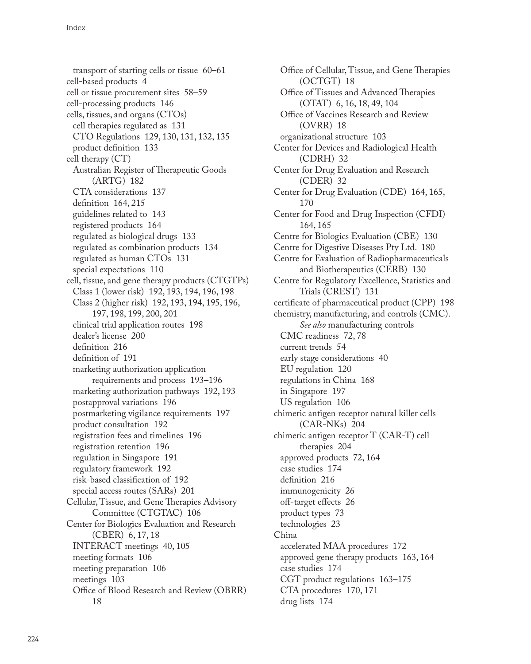transport of starting cells or tissue [60–61](#page--1-0) cell-based products [4](#page--1-0) cell or tissue procurement sites [58–59](#page--1-0) cell-processing products [146](#page--1-0) cells, tissues, and organs (CTOs) cell therapies regulated as [131](#page--1-0) CTO Regulations [129, 130](#page--1-0), [131,](#page--1-0) [132, 135](#page--1-0) product definition [133](#page--1-0) cell therapy (CT) Australian Register of Therapeutic Goods (ARTG) [182](#page--1-0) CTA considerations [137](#page--1-0) definition [164](#page--1-0), [215](#page--1-0) guidelines related to [143](#page--1-0) registered products [164](#page--1-0) regulated as biological drugs [133](#page--1-0) regulated as combination products [134](#page--1-0) regulated as human CTOs [131](#page--1-0) special expectations [110](#page--1-0) cell, tissue, and gene therapy products (CTGTPs) Class 1 (lower risk) [192](#page--1-0), [193, 194](#page--1-0), [196,](#page--1-0) [198](#page--1-0) Class 2 (higher risk) [192](#page--1-0), [193, 194](#page--1-0), [195,](#page--1-0) [196,](#page--1-0) [197](#page--1-0), [198](#page--1-0), [199, 200](#page--1-0), [201](#page--1-0) clinical trial application routes [198](#page--1-0) dealer's license [200](#page--1-0) definition [216](#page--1-0) definition of [191](#page--1-0) marketing authorization application requirements and process [193–196](#page--1-0) marketing authorization pathways [192](#page--1-0), [193](#page--1-0) postapproval variations [196](#page--1-0) postmarketing vigilance requirements [197](#page--1-0) product consultation [192](#page--1-0) registration fees and timelines [196](#page--1-0) registration retention [196](#page--1-0) regulation in Singapore [191](#page--1-0) regulatory framework [192](#page--1-0) risk-based classification of [192](#page--1-0) special access routes (SARs) [201](#page--1-0) Cellular, Tissue, and Gene Therapies Advisory Committee (CTGTAC) [106](#page--1-0) Center for Biologics Evaluation and Research (CBER) [6](#page--1-0), [17, 18](#page--1-0) INTERACT meetings [40, 105](#page--1-0) meeting formats [106](#page--1-0) meeting preparation [106](#page--1-0) meetings [103](#page--1-0) Office of Blood Research and Review (OBRR) [18](#page--1-0)

Office of Cellular, Tissue, and Gene Therapies (OCTGT) [18](#page--1-0) Office of Tissues and Advanced Therapies (OTAT) [6, 16](#page--1-0), [18](#page--1-0), [49, 104](#page--1-0) Office of Vaccines Research and Review (OVRR) [18](#page--1-0) organizational structure [103](#page--1-0) Center for Devices and Radiological Health (CDRH) [32](#page--1-0) Center for Drug Evaluation and Research (CDER) [32](#page--1-0) Center for Drug Evaluation (CDE) [164, 165](#page--1-0), [170](#page--1-0) Center for Food and Drug Inspection (CFDI) [164](#page--1-0), [165](#page--1-0) Centre for Biologics Evaluation (CBE) [130](#page--1-0) Centre for Digestive Diseases Pty Ltd. [180](#page--1-0) Centre for Evaluation of Radiopharmaceuticals and Biotherapeutics (CERB) [130](#page--1-0) Centre for Regulatory Excellence, Statistics and Trials (CREST) [131](#page--1-0) certificate of pharmaceutical product (CPP) [198](#page--1-0) chemistry, manufacturing, and controls (CMC). *See also* manufacturing controls CMC readiness [72, 78](#page--1-0) current trends [54](#page--1-0) early stage considerations [40](#page--1-0) EU regulation [120](#page--1-0) regulations in China [168](#page--1-0) in Singapore [197](#page--1-0) US regulation [106](#page--1-0) chimeric antigen receptor natural killer cells (CAR-NKs) [204](#page--1-0) chimeric antigen receptor T (CAR-T) cell therapies [204](#page--1-0) approved products [72, 164](#page--1-0) case studies [174](#page--1-0) definition [216](#page--1-0) immunogenicity [26](#page--1-0) off-target effects [26](#page--1-0) product types [73](#page--1-0) technologies [23](#page--1-0) China accelerated MAA procedures [172](#page--1-0) approved gene therapy products [163](#page--1-0), [164](#page--1-0) case studies [174](#page--1-0) CGT product regulations [163–175](#page--1-0) CTA procedures [170, 171](#page--1-0) drug lists [174](#page--1-0)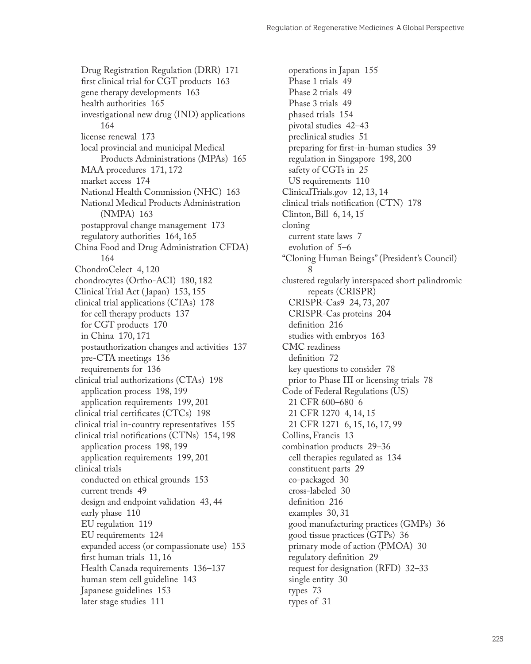Drug Registration Regulation (DRR) [171](#page--1-0) first clinical trial for CGT products [163](#page--1-0) gene therapy developments [163](#page--1-0) health authorities [165](#page--1-0) investigational new drug (IND) applications [164](#page--1-0) license renewal [173](#page--1-0) local provincial and municipal Medical Products Administrations (MPAs) [165](#page--1-0) MAA procedures [171](#page--1-0), [172](#page--1-0) market access [174](#page--1-0) National Health Commission (NHC) [163](#page--1-0) National Medical Products Administration (NMPA) [163](#page--1-0) postapproval change management [173](#page--1-0) regulatory authorities [164, 165](#page--1-0) China Food and Drug Administration CFDA) [164](#page--1-0) ChondroCelect [4,](#page--1-0) [120](#page--1-0) chondrocytes (Ortho-ACI) [180, 182](#page--1-0) Clinical Trial Act ( Japan) [153, 155](#page--1-0) clinical trial applications (CTAs) [178](#page--1-0) for cell therapy products [137](#page--1-0) for CGT products [170](#page--1-0) in China [170, 171](#page--1-0) postauthorization changes and activities [137](#page--1-0) pre-CTA meetings [136](#page--1-0) requirements for [136](#page--1-0) clinical trial authorizations (CTAs) [198](#page--1-0) application process [198, 199](#page--1-0) application requirements [199](#page--1-0), [201](#page--1-0) clinical trial certificates (CTCs) [198](#page--1-0) clinical trial in-country representatives [155](#page--1-0) clinical trial notifications (CTNs) [154, 198](#page--1-0) application process [198, 199](#page--1-0) application requirements [199](#page--1-0), [201](#page--1-0) clinical trials conducted on ethical grounds [153](#page--1-0) current trends [49](#page--1-0) design and endpoint validation [43, 44](#page--1-0) early phase [110](#page--1-0) EU regulation [119](#page--1-0) EU requirements [124](#page--1-0) expanded access (or compassionate use) [153](#page--1-0) first human trials [11, 16](#page--1-0) Health Canada requirements [136–137](#page--1-0) human stem cell guideline [143](#page--1-0) Japanese guidelines [153](#page--1-0) later stage studies [111](#page--1-0)

operations in Japan [155](#page--1-0) Phase 1 trials [49](#page--1-0) Phase 2 trials [49](#page--1-0) Phase 3 trials [49](#page--1-0) phased trials [154](#page--1-0) pivotal studies [42–43](#page--1-0) preclinical studies [51](#page--1-0) preparing for first-in-human studies [39](#page--1-0) regulation in Singapore [198, 200](#page--1-0) safety of CGTs in [25](#page--1-0) US requirements [110](#page--1-0) ClinicalTrials.gov [12](#page--1-0), [13,](#page--1-0) [14](#page--1-0) clinical trials notification (CTN) [178](#page--1-0) Clinton, Bill [6](#page--1-0), [14, 15](#page--1-0) cloning current state laws [7](#page--1-0) evolution of [5–6](#page--1-0) "Cloning Human Beings" (President's Council) [8](#page--1-0) clustered regularly interspaced short palindromic repeats (CRISPR) CRISPR-Cas9 [24](#page--1-0), [73](#page--1-0), [207](#page--1-0) CRISPR-Cas proteins [204](#page--1-0) definition [216](#page--1-0) studies with embryos [163](#page--1-0) CMC readiness definition [72](#page--1-0) key questions to consider [78](#page--1-0) prior to Phase III or licensing trials [78](#page--1-0) Code of Federal Regulations (US) 21 CFR 600–680 [6](#page--1-0) 21 CFR 1270 [4,](#page--1-0) [14, 15](#page--1-0) 21 CFR 1271 [6,](#page--1-0) [15, 16](#page--1-0), [17, 99](#page--1-0) Collins, Francis [13](#page--1-0) combination products [29–36](#page--1-0) cell therapies regulated as [134](#page--1-0) constituent parts [29](#page--1-0) co-packaged [30](#page--1-0) cross-labeled [30](#page--1-0) definition [216](#page--1-0) examples [30,](#page--1-0) [31](#page--1-0) good manufacturing practices (GMPs) [36](#page--1-0) good tissue practices (GTPs) [36](#page--1-0) primary mode of action (PMOA) [30](#page--1-0) regulatory definition [29](#page--1-0) request for designation (RFD) [32–33](#page--1-0) single entity [30](#page--1-0) types [73](#page--1-0) types of [31](#page--1-0)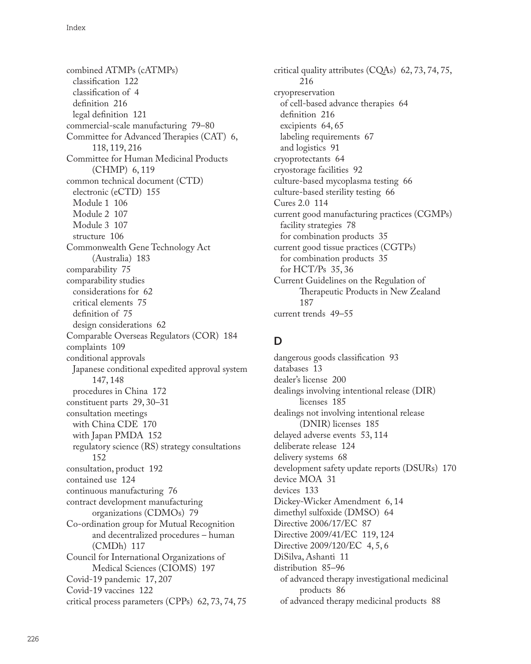combined ATMPs (cATMPs) classification [122](#page--1-0) classification of [4](#page--1-0) definition [216](#page--1-0) legal definition [121](#page--1-0) commercial-scale manufacturing [79–80](#page--1-0) Committee for Advanced Therapies (CAT) [6,](#page--1-0) [118](#page--1-0), [119](#page--1-0), [216](#page--1-0) Committee for Human Medicinal Products (CHMP) [6,](#page--1-0) [119](#page--1-0) common technical document (CTD) electronic (eCTD) [155](#page--1-0) Module 1 [106](#page--1-0) Module 2 [107](#page--1-0) Module 3 [107](#page--1-0) structure [106](#page--1-0) Commonwealth Gene Technology Act (Australia) [183](#page--1-0) comparability [75](#page--1-0) comparability studies considerations for [62](#page--1-0) critical elements [75](#page--1-0) definition of [75](#page--1-0) design considerations [62](#page--1-0) Comparable Overseas Regulators (COR) [184](#page--1-0) complaints [109](#page--1-0) conditional approvals Japanese conditional expedited approval system [147](#page--1-0), [148](#page--1-0) procedures in China [172](#page--1-0) constituent parts [29](#page--1-0), [30–31](#page--1-0) consultation meetings with China CDE [170](#page--1-0) with Japan PMDA [152](#page--1-0) regulatory science (RS) strategy consultations [152](#page--1-0) consultation, product [192](#page--1-0) contained use [124](#page--1-0) continuous manufacturing [76](#page--1-0) contract development manufacturing organizations (CDMOs) [79](#page--1-0) Co-ordination group for Mutual Recognition and decentralized procedures – human (CMDh) [117](#page--1-0) Council for International Organizations of Medical Sciences (CIOMS) [197](#page--1-0) Covid-19 pandemic [17](#page--1-0), [207](#page--1-0) Covid-19 vaccines [122](#page--1-0) critical process parameters (CPPs) [62](#page--1-0), [73, 74](#page--1-0), [75](#page--1-0)

critical quality attributes (CQAs) [62, 73](#page--1-0), [74,](#page--1-0) [75,](#page--1-0) [216](#page--1-0) cryopreservation of cell-based advance therapies [64](#page--1-0) definition [216](#page--1-0) excipients [64,](#page--1-0) [65](#page--1-0) labeling requirements [67](#page--1-0) and logistics [91](#page--1-0) cryoprotectants [64](#page--1-0) cryostorage facilities [92](#page--1-0) culture-based mycoplasma testing [66](#page--1-0) culture-based sterility testing [66](#page--1-0) Cures 2.0 [114](#page--1-0) current good manufacturing practices (CGMPs) facility strategies [78](#page--1-0) for combination products [35](#page--1-0) current good tissue practices (CGTPs) for combination products [35](#page--1-0) for HCT/Ps [35, 36](#page--1-0) Current Guidelines on the Regulation of Therapeutic Products in New Zealand [187](#page--1-0) current trends [49–55](#page--1-0)

## **D**

dangerous goods classification [93](#page--1-0) databases [13](#page--1-0) dealer's license [200](#page--1-0) dealings involving intentional release (DIR) licenses [185](#page--1-0) dealings not involving intentional release (DNIR) licenses [185](#page--1-0) delayed adverse events [53](#page--1-0), [114](#page--1-0) deliberate release [124](#page--1-0) delivery systems [68](#page--1-0) development safety update reports (DSURs) [170](#page--1-0) device MOA [31](#page--1-0) devices [133](#page--1-0) Dickey-Wicker Amendment [6](#page--1-0), [14](#page--1-0) dimethyl sulfoxide (DMSO) [64](#page--1-0) Directive 2006/17/EC [87](#page--1-0) Directive 2009/41/EC [119, 124](#page--1-0) Directive 2009/120/EC [4, 5](#page--1-0), [6](#page--1-0) DiSilva, Ashanti [11](#page--1-0) distribution [85–96](#page--1-0) of advanced therapy investigational medicinal products [86](#page--1-0) of advanced therapy medicinal products [88](#page--1-0)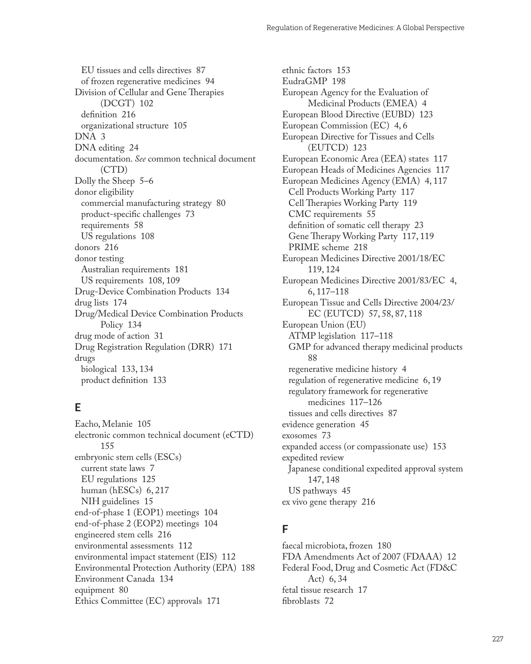EU tissues and cells directives [87](#page--1-0) of frozen regenerative medicines [94](#page--1-0) Division of Cellular and Gene Therapies (DCGT) [102](#page--1-0) definition [216](#page--1-0) organizational structure [105](#page--1-0) DNA [3](#page--1-0) DNA editing [24](#page--1-0) documentation. *See* common technical document (CTD) Dolly the Sheep [5–6](#page--1-0) donor eligibility commercial manufacturing strategy [80](#page--1-0) product-specific challenges [73](#page--1-0) requirements [58](#page--1-0) US regulations [108](#page--1-0) donors [216](#page--1-0) donor testing Australian requirements [181](#page--1-0) US requirements [108, 109](#page--1-0) Drug-Device Combination Products [134](#page--1-0) drug lists [174](#page--1-0) Drug/Medical Device Combination Products Policy [134](#page--1-0) drug mode of action [31](#page--1-0) Drug Registration Regulation (DRR) [171](#page--1-0) drugs biological [133, 134](#page--1-0) product definition [133](#page--1-0)

## **E**

Eacho, Melanie [105](#page--1-0) electronic common technical document (eCTD) [155](#page--1-0) embryonic stem cells (ESCs) current state laws [7](#page--1-0) EU regulations [125](#page--1-0) human (hESCs) [6, 217](#page--1-0) NIH guidelines [15](#page--1-0) end-of-phase 1 (EOP1) meetings [104](#page--1-0) end-of-phase 2 (EOP2) meetings [104](#page--1-0) engineered stem cells [216](#page--1-0) environmental assessments [112](#page--1-0) environmental impact statement (EIS) [112](#page--1-0) Environmental Protection Authority (EPA) [188](#page--1-0) Environment Canada [134](#page--1-0) equipment [80](#page--1-0) Ethics Committee (EC) approvals [171](#page--1-0)

ethnic factors [153](#page--1-0) EudraGMP [198](#page--1-0) European Agency for the Evaluation of Medicinal Products (EMEA) [4](#page--1-0) European Blood Directive (EUBD) [123](#page--1-0) European Commission (EC) [4,](#page--1-0) [6](#page--1-0) European Directive for Tissues and Cells (EUTCD) [123](#page--1-0) European Economic Area (EEA) states [117](#page--1-0) European Heads of Medicines Agencies [117](#page--1-0) European Medicines Agency (EMA) [4, 117](#page--1-0) Cell Products Working Party [117](#page--1-0) Cell Therapies Working Party [119](#page--1-0) CMC requirements [55](#page--1-0) definition of somatic cell therapy [23](#page--1-0) Gene Therapy Working Party [117](#page--1-0), [119](#page--1-0) PRIME scheme [218](#page--1-0) European Medicines Directive 2001/18/EC [119](#page--1-0), [124](#page--1-0) European Medicines Directive 2001/83/EC [4](#page--1-0), [6](#page--1-0), [117–118](#page--1-0) European Tissue and Cells Directive 2004/23/ EC (EUTCD) [57, 58](#page--1-0), [87,](#page--1-0) [118](#page--1-0) European Union (EU) ATMP legislation [117–118](#page--1-0) GMP for advanced therapy medicinal products [88](#page--1-0) regenerative medicine history [4](#page--1-0) regulation of regenerative medicine [6](#page--1-0), [19](#page--1-0) regulatory framework for regenerative medicines [117–126](#page--1-0) tissues and cells directives [87](#page--1-0) evidence generation [45](#page--1-0) exosomes [73](#page--1-0) expanded access (or compassionate use) [153](#page--1-0) expedited review Japanese conditional expedited approval system [147](#page--1-0), [148](#page--1-0) US pathways [45](#page--1-0) ex vivo gene therapy [216](#page--1-0)

## **F**

faecal microbiota, frozen [180](#page--1-0) FDA Amendments Act of 2007 (FDAAA) [12](#page--1-0) Federal Food, Drug and Cosmetic Act (FD&C Act) [6](#page--1-0), [34](#page--1-0) fetal tissue research [17](#page--1-0) fibroblasts [72](#page--1-0)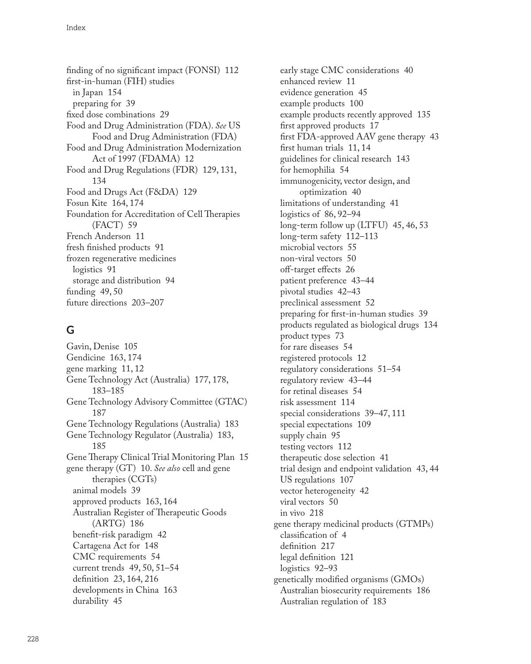finding of no significant impact (FONSI) [112](#page--1-0) first-in-human (FIH) studies in Japan [154](#page--1-0) preparing for [39](#page--1-0) fixed dose combinations [29](#page--1-0) Food and Drug Administration (FDA). *See* US Food and Drug Administration (FDA) Food and Drug Administration Modernization Act of 1997 (FDAMA) [12](#page--1-0) Food and Drug Regulations (FDR) [129, 131](#page--1-0), [134](#page--1-0) Food and Drugs Act (F&DA) [129](#page--1-0) Fosun Kite [164](#page--1-0), [174](#page--1-0) Foundation for Accreditation of Cell Therapies (FACT) [59](#page--1-0) French Anderson [11](#page--1-0) fresh finished products [91](#page--1-0) frozen regenerative medicines logistics [91](#page--1-0) storage and distribution [94](#page--1-0) funding [49,](#page--1-0) [50](#page--1-0) future directions [203–207](#page--1-0)

# **G**

Gavin, Denise [105](#page--1-0) Gendicine [163](#page--1-0), [174](#page--1-0) gene marking [11, 12](#page--1-0) Gene Technology Act (Australia) [177](#page--1-0), [178](#page--1-0), [183](#page--1-0)–[185](#page--1-0) Gene Technology Advisory Committee (GTAC) [187](#page--1-0) Gene Technology Regulations (Australia) [183](#page--1-0) Gene Technology Regulator (Australia) [183,](#page--1-0) [185](#page--1-0) Gene Therapy Clinical Trial Monitoring Plan [15](#page--1-0) gene therapy (GT) [10.](#page--1-0) *See also* cell and gene therapies (CGTs) animal models [39](#page--1-0) approved products [163, 164](#page--1-0) Australian Register of Therapeutic Goods (ARTG) [186](#page--1-0) benefit-risk paradigm [42](#page--1-0) Cartagena Act for [148](#page--1-0) CMC requirements [54](#page--1-0) current trends [49](#page--1-0), [50,](#page--1-0) [51–54](#page--1-0) definition [23](#page--1-0), [164](#page--1-0), [216](#page--1-0) developments in China [163](#page--1-0) durability [45](#page--1-0)

early stage CMC considerations [40](#page--1-0) enhanced review [11](#page--1-0) evidence generation [45](#page--1-0) example products [100](#page--1-0) example products recently approved [135](#page--1-0) first approved products [17](#page--1-0) first FDA-approved AAV gene therapy [43](#page--1-0) first human trials [11, 14](#page--1-0) guidelines for clinical research [143](#page--1-0) for hemophilia [54](#page--1-0) immunogenicity, vector design, and optimization [40](#page--1-0) limitations of understanding [41](#page--1-0) logistics of [86, 92–94](#page--1-0) long-term follow up (LTFU) [45, 46](#page--1-0), [53](#page--1-0) long-term safety [112–113](#page--1-0) microbial vectors [55](#page--1-0) non-viral vectors [50](#page--1-0) off-target effects [26](#page--1-0) patient preference [43–44](#page--1-0) pivotal studies [42–43](#page--1-0) preclinical assessment [52](#page--1-0) preparing for first-in-human studies [39](#page--1-0) products regulated as biological drugs [134](#page--1-0) product types [73](#page--1-0) for rare diseases [54](#page--1-0) registered protocols [12](#page--1-0) regulatory considerations [51–54](#page--1-0) regulatory review [43–44](#page--1-0) for retinal diseases [54](#page--1-0) risk assessment [114](#page--1-0) special considerations [39–47, 111](#page--1-0) special expectations [109](#page--1-0) supply chain [95](#page--1-0) testing vectors [112](#page--1-0) therapeutic dose selection [41](#page--1-0) trial design and endpoint validation [43,](#page--1-0) [44](#page--1-0) US regulations [107](#page--1-0) vector heterogeneity [42](#page--1-0) viral vectors [50](#page--1-0) in vivo [218](#page--1-0) gene therapy medicinal products (GTMPs) classification of [4](#page--1-0) definition [217](#page--1-0) legal definition [121](#page--1-0) logistics [92–93](#page--1-0) genetically modified organisms (GMOs) Australian biosecurity requirements [186](#page--1-0) Australian regulation of [183](#page--1-0)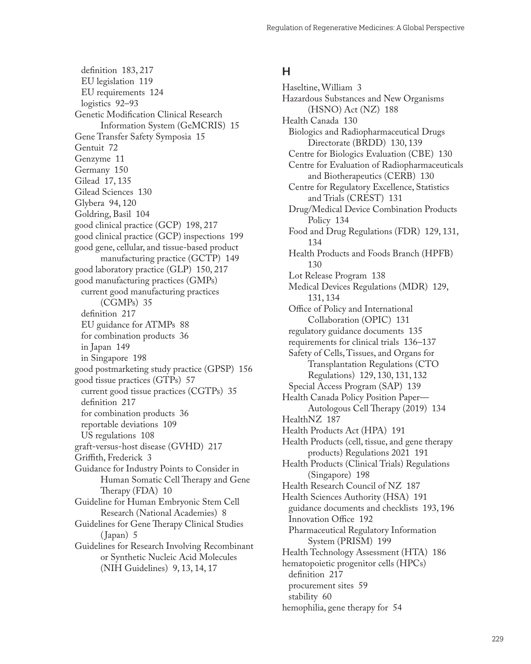definition [183](#page--1-0), [217](#page--1-0) EU legislation [119](#page--1-0) EU requirements [124](#page--1-0) logistics [92–93](#page--1-0) Genetic Modification Clinical Research Information System (GeMCRIS) [15](#page--1-0) Gene Transfer Safety Symposia [15](#page--1-0) Gentuit [72](#page--1-0) Genzyme [11](#page--1-0) Germany [150](#page--1-0) Gilead [17](#page--1-0), [135](#page--1-0) Gilead Sciences [130](#page--1-0) Glybera [94](#page--1-0), [120](#page--1-0) Goldring, Basil [104](#page--1-0) good clinical practice (GCP) [198, 217](#page--1-0) good clinical practice (GCP) inspections [199](#page--1-0) good gene, cellular, and tissue-based product manufacturing practice (GCTP) [149](#page--1-0) good laboratory practice (GLP) [150, 217](#page--1-0) good manufacturing practices (GMPs) current good manufacturing practices (CGMPs) [35](#page--1-0) definition [217](#page--1-0) EU guidance for ATMPs [88](#page--1-0) for combination products [36](#page--1-0) in Japan [149](#page--1-0) in Singapore [198](#page--1-0) good postmarketing study practice (GPSP) [156](#page--1-0) good tissue practices (GTPs) [57](#page--1-0) current good tissue practices (CGTPs) [35](#page--1-0) definition [217](#page--1-0) for combination products [36](#page--1-0) reportable deviations [109](#page--1-0) US regulations [108](#page--1-0) graft-versus-host disease (GVHD) [217](#page--1-0) Griffith, Frederick [3](#page--1-0) Guidance for Industry Points to Consider in Human Somatic Cell Therapy and Gene Therapy (FDA) [10](#page--1-0) Guideline for Human Embryonic Stem Cell Research (National Academies) [8](#page--1-0) Guidelines for Gene Therapy Clinical Studies ( Japan) [5](#page--1-0) Guidelines for Research Involving Recombinant or Synthetic Nucleic Acid Molecules (NIH Guidelines) [9](#page--1-0), [13, 14](#page--1-0), [17](#page--1-0)

#### **H**

Haseltine, William [3](#page--1-0) Hazardous Substances and New Organisms (HSNO) Act (NZ) [188](#page--1-0) Health Canada [130](#page--1-0) Biologics and Radiopharmaceutical Drugs Directorate (BRDD) [130, 139](#page--1-0) Centre for Biologics Evaluation (CBE) [130](#page--1-0) Centre for Evaluation of Radiopharmaceuticals and Biotherapeutics (CERB) [130](#page--1-0) Centre for Regulatory Excellence, Statistics and Trials (CREST) [131](#page--1-0) Drug/Medical Device Combination Products Policy [134](#page--1-0) Food and Drug Regulations (FDR) [129, 131](#page--1-0), [134](#page--1-0) Health Products and Foods Branch (HPFB) [130](#page--1-0) Lot Release Program [138](#page--1-0) Medical Devices Regulations (MDR) [129](#page--1-0), [131](#page--1-0), [134](#page--1-0) Office of Policy and International Collaboration (OPIC) [131](#page--1-0) regulatory guidance documents [135](#page--1-0) requirements for clinical trials [136–137](#page--1-0) Safety of Cells, Tissues, and Organs for Transplantation Regulations (CTO Regulations) [129](#page--1-0), [130](#page--1-0), [131, 132](#page--1-0) Special Access Program (SAP) [139](#page--1-0) Health Canada Policy Position Paper— Autologous Cell Therapy (2019) [134](#page--1-0) HealthNZ [187](#page--1-0) Health Products Act (HPA) [191](#page--1-0) Health Products (cell, tissue, and gene therapy products) Regulations 2021 [191](#page--1-0) Health Products (Clinical Trials) Regulations (Singapore) [198](#page--1-0) Health Research Council of NZ [187](#page--1-0) Health Sciences Authority (HSA) [191](#page--1-0) guidance documents and checklists [193,](#page--1-0) [196](#page--1-0) Innovation Office [192](#page--1-0) Pharmaceutical Regulatory Information System (PRISM) [199](#page--1-0) Health Technology Assessment (HTA) [186](#page--1-0) hematopoietic progenitor cells (HPCs) definition [217](#page--1-0) procurement sites [59](#page--1-0) stability [60](#page--1-0) hemophilia, gene therapy for [54](#page--1-0)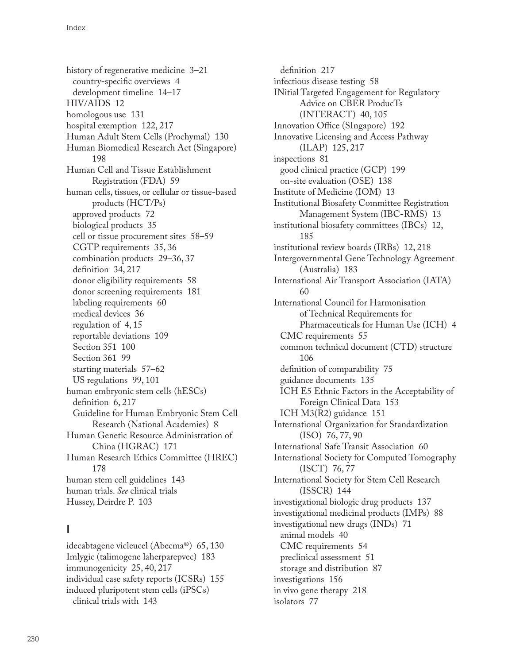history of regenerative medicine [3–21](#page--1-0) country-specific overviews [4](#page--1-0) development timeline [14–17](#page--1-0) HIV/AIDS [12](#page--1-0) homologous use [131](#page--1-0) hospital exemption [122,](#page--1-0) [217](#page--1-0) Human Adult Stem Cells (Prochymal) [130](#page--1-0) Human Biomedical Research Act (Singapore) [198](#page--1-0) Human Cell and Tissue Establishment Registration (FDA) [59](#page--1-0) human cells, tissues, or cellular or tissue-based products (HCT/Ps) approved products [72](#page--1-0) biological products [35](#page--1-0) cell or tissue procurement sites [58–59](#page--1-0) CGTP requirements [35](#page--1-0), [36](#page--1-0) combination products [29–36, 37](#page--1-0) definition [34](#page--1-0), [217](#page--1-0) donor eligibility requirements [58](#page--1-0) donor screening requirements [181](#page--1-0) labeling requirements [60](#page--1-0) medical devices [36](#page--1-0) regulation of [4](#page--1-0), [15](#page--1-0) reportable deviations [109](#page--1-0) Section 351 [100](#page--1-0) Section 361 [99](#page--1-0) starting materials [57–62](#page--1-0) US regulations [99,](#page--1-0) [101](#page--1-0) human embryonic stem cells (hESCs) definition [6](#page--1-0), [217](#page--1-0) Guideline for Human Embryonic Stem Cell Research (National Academies) [8](#page--1-0) Human Genetic Resource Administration of China (HGRAC) [171](#page--1-0) Human Research Ethics Committee (HREC) [178](#page--1-0) human stem cell guidelines [143](#page--1-0) human trials. *See* clinical trials Hussey, Deirdre P. [103](#page--1-0)

## **I**

idecabtagene vicleucel (Abecma®) [65](#page--1-0), [130](#page--1-0) Imlygic (talimogene laherparepvec) [183](#page--1-0) immunogenicity [25, 40](#page--1-0), [217](#page--1-0) individual case safety reports (ICSRs) [155](#page--1-0) induced pluripotent stem cells (iPSCs) clinical trials with [143](#page--1-0)

definition [217](#page--1-0) infectious disease testing [58](#page--1-0) INitial Targeted Engagement for Regulatory Advice on CBER ProducTs (INTERACT) [40, 105](#page--1-0) Innovation Office (SIngapore) [192](#page--1-0) Innovative Licensing and Access Pathway (ILAP) [125,](#page--1-0) [217](#page--1-0) inspections [81](#page--1-0) good clinical practice (GCP) [199](#page--1-0) on-site evaluation (OSE) [138](#page--1-0) Institute of Medicine (IOM) [13](#page--1-0) Institutional Biosafety Committee Registration Management System (IBC-RMS) [13](#page--1-0) institutional biosafety committees (IBCs) [12](#page--1-0), [185](#page--1-0) institutional review boards (IRBs) [12, 218](#page--1-0) Intergovernmental Gene Technology Agreement (Australia) [183](#page--1-0) International Air Transport Association (IATA) [60](#page--1-0) International Council for Harmonisation of Technical Requirements for Pharmaceuticals for Human Use (ICH) [4](#page--1-0) CMC requirements [55](#page--1-0) common technical document (CTD) structure [106](#page--1-0) definition of comparability [75](#page--1-0) guidance documents [135](#page--1-0) ICH E5 Ethnic Factors in the Acceptability of Foreign Clinical Data [153](#page--1-0) ICH M3(R2) guidance [151](#page--1-0) International Organization for Standardization (ISO) [76](#page--1-0), [77](#page--1-0), [90](#page--1-0) International Safe Transit Association [60](#page--1-0) International Society for Computed Tomography (ISCT) [76,](#page--1-0) [77](#page--1-0) International Society for Stem Cell Research (ISSCR) [144](#page--1-0) investigational biologic drug products [137](#page--1-0) investigational medicinal products (IMPs) [88](#page--1-0) investigational new drugs (INDs) [71](#page--1-0) animal models [40](#page--1-0) CMC requirements [54](#page--1-0) preclinical assessment [51](#page--1-0) storage and distribution [87](#page--1-0) investigations [156](#page--1-0) in vivo gene therapy [218](#page--1-0) isolators [77](#page--1-0)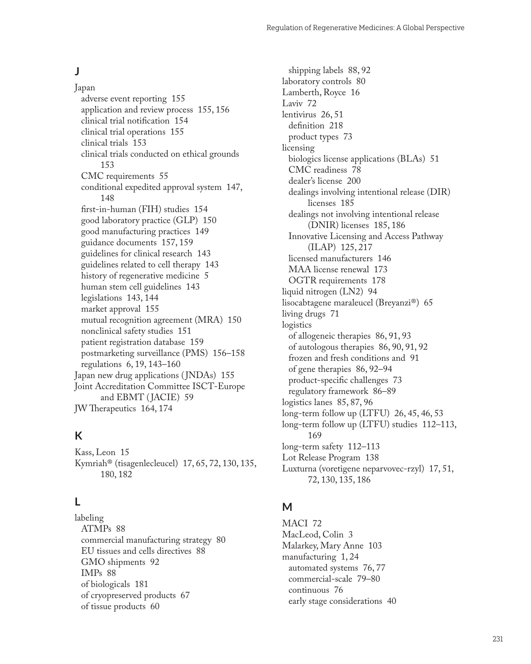#### **J**

Japan adverse event reporting [155](#page--1-0) application and review process [155, 156](#page--1-0) clinical trial notification [154](#page--1-0) clinical trial operations [155](#page--1-0) clinical trials [153](#page--1-0) clinical trials conducted on ethical grounds [153](#page--1-0) CMC requirements [55](#page--1-0) conditional expedited approval system [147,](#page--1-0) [148](#page--1-0) first-in-human (FIH) studies [154](#page--1-0) good laboratory practice (GLP) [150](#page--1-0) good manufacturing practices [149](#page--1-0) guidance documents [157](#page--1-0), [159](#page--1-0) guidelines for clinical research [143](#page--1-0) guidelines related to cell therapy [143](#page--1-0) history of regenerative medicine [5](#page--1-0) human stem cell guidelines [143](#page--1-0) legislations [143](#page--1-0), [144](#page--1-0) market approval [155](#page--1-0) mutual recognition agreement (MRA) [150](#page--1-0) nonclinical safety studies [151](#page--1-0) patient registration database [159](#page--1-0) postmarketing surveillance (PMS) [156–158](#page--1-0) regulations [6](#page--1-0), [19](#page--1-0), [143–160](#page--1-0) Japan new drug applications (JNDAs) [155](#page--1-0) Joint Accreditation Committee ISCT-Europe and EBMT ( JACIE) [59](#page--1-0) JW Therapeutics [164, 174](#page--1-0)

## **K**

Kass, Leon [15](#page--1-0) Kymriah® (tisagenlecleucel) [17](#page--1-0), [65, 72](#page--1-0), [130](#page--1-0), [135,](#page--1-0) [180](#page--1-0), [182](#page--1-0)

## **L**

labeling ATMPs [88](#page--1-0) commercial manufacturing strategy [80](#page--1-0) EU tissues and cells directives [88](#page--1-0) GMO shipments [92](#page--1-0) IMPs [88](#page--1-0) of biologicals [181](#page--1-0) of cryopreserved products [67](#page--1-0) of tissue products [60](#page--1-0)

shipping labels [88,](#page--1-0) [92](#page--1-0) laboratory controls [80](#page--1-0) Lamberth, Royce [16](#page--1-0) Laviv [72](#page--1-0) lentivirus [26](#page--1-0), [51](#page--1-0) definition [218](#page--1-0) product types [73](#page--1-0) licensing biologics license applications (BLAs) [51](#page--1-0) CMC readiness [78](#page--1-0) dealer's license [200](#page--1-0) dealings involving intentional release (DIR) licenses [185](#page--1-0) dealings not involving intentional release (DNIR) licenses [185](#page--1-0), [186](#page--1-0) Innovative Licensing and Access Pathway (ILAP) [125,](#page--1-0) [217](#page--1-0) licensed manufacturers [146](#page--1-0) MAA license renewal [173](#page--1-0) OGTR requirements [178](#page--1-0) liquid nitrogen (LN2) [94](#page--1-0) lisocabtagene maraleucel (Breyanzi®) [65](#page--1-0) living drugs [71](#page--1-0) logistics of allogeneic therapies [86](#page--1-0), [91, 93](#page--1-0) of autologous therapies [86, 90](#page--1-0), [91, 92](#page--1-0) frozen and fresh conditions and [91](#page--1-0) of gene therapies [86](#page--1-0), [92–94](#page--1-0) product-specific challenges [73](#page--1-0) regulatory framework [86–89](#page--1-0) logistics lanes [85, 87](#page--1-0), [96](#page--1-0) long-term follow up (LTFU) [26, 45](#page--1-0), [46, 53](#page--1-0) long-term follow up (LTFU) studies [112–113,](#page--1-0) [169](#page--1-0) long-term safety [112–113](#page--1-0) Lot Release Program [138](#page--1-0) Luxturna (voretigene neparvovec-rzyl) [17](#page--1-0), [51,](#page--1-0) [72](#page--1-0), [130](#page--1-0), [135, 186](#page--1-0)

### **M**

MACI [72](#page--1-0) MacLeod, Colin [3](#page--1-0) Malarkey, Mary Anne [103](#page--1-0) manufacturing [1, 24](#page--1-0) automated systems [76, 77](#page--1-0) commercial-scale [79–80](#page--1-0) continuous [76](#page--1-0) early stage considerations [40](#page--1-0)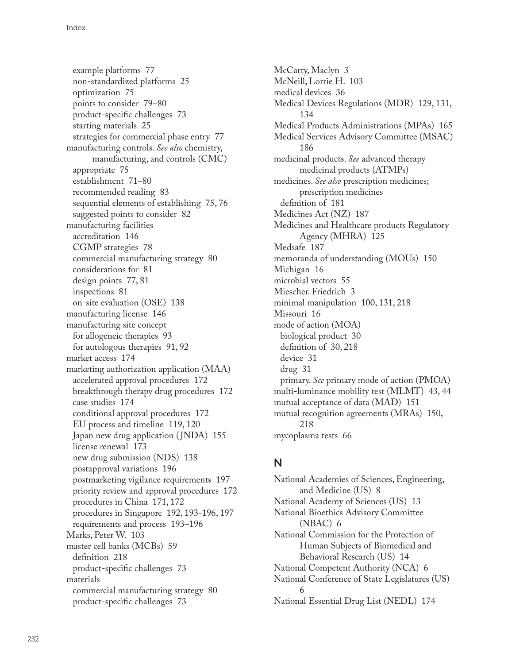example platforms [77](#page--1-0) non-standardized platforms [25](#page--1-0) optimization [75](#page--1-0) points to consider [79–80](#page--1-0) product-specific challenges [73](#page--1-0) starting materials [25](#page--1-0) strategies for commercial phase entry [77](#page--1-0) manufacturing controls. *See also* chemistry, manufacturing, and controls (CMC) appropriate [75](#page--1-0) establishment [71–80](#page--1-0) recommended reading [83](#page--1-0) sequential elements of establishing [75, 76](#page--1-0) suggested points to consider [82](#page--1-0) manufacturing facilities accreditation [146](#page--1-0) CGMP strategies [78](#page--1-0) commercial manufacturing strategy [80](#page--1-0) considerations for [81](#page--1-0) design points [77](#page--1-0), [81](#page--1-0) inspections [81](#page--1-0) on-site evaluation (OSE) [138](#page--1-0) manufacturing license [146](#page--1-0) manufacturing site concept for allogeneic therapies [93](#page--1-0) for autologous therapies [91](#page--1-0), [92](#page--1-0) market access [174](#page--1-0) marketing authorization application (MAA) accelerated approval procedures [172](#page--1-0) breakthrough therapy drug procedures [172](#page--1-0) case studies [174](#page--1-0) conditional approval procedures [172](#page--1-0) EU process and timeline [119, 120](#page--1-0) Japan new drug application ( JNDA) [155](#page--1-0) license renewal [173](#page--1-0) new drug submission (NDS) [138](#page--1-0) postapproval variations [196](#page--1-0) postmarketing vigilance requirements [197](#page--1-0) priority review and approval procedures [172](#page--1-0) procedures in China [171](#page--1-0), [172](#page--1-0) procedures in Singapore [192, 193-19](#page--1-0)6, [197](#page--1-0) requirements and process [193–196](#page--1-0) Marks, Peter W. [103](#page--1-0) master cell banks (MCBs) [59](#page--1-0) definition [218](#page--1-0) product-specific challenges [73](#page--1-0) materials commercial manufacturing strategy [80](#page--1-0) product-specific challenges [73](#page--1-0)

McCarty, Maclyn [3](#page--1-0) McNeill, Lorrie H. [103](#page--1-0) medical devices [36](#page--1-0) Medical Devices Regulations (MDR) [129](#page--1-0), [131,](#page--1-0) [134](#page--1-0) Medical Products Administrations (MPAs) [165](#page--1-0) Medical Services Advisory Committee (MSAC) [186](#page--1-0) medicinal products. *See* advanced therapy medicinal products (ATMPs) medicines. *See also* prescription medicines; prescription medicines definition of [181](#page--1-0) Medicines Act (NZ) [187](#page--1-0) Medicines and Healthcare products Regulatory Agency (MHRA) [125](#page--1-0) Medsafe [187](#page--1-0) memoranda of understanding (MOUs) [150](#page--1-0) Michigan [16](#page--1-0) microbial vectors [55](#page--1-0) Miescher. Friedrich [3](#page--1-0) minimal manipulation [100, 131](#page--1-0), [218](#page--1-0) Missouri [16](#page--1-0) mode of action (MOA) biological product [30](#page--1-0) definition of [30, 218](#page--1-0) device [31](#page--1-0) drug [31](#page--1-0) primary. *See* primary mode of action (PMOA) multi-luminance mobility test (MLMT) [43, 44](#page--1-0) mutual acceptance of data (MAD) [151](#page--1-0) mutual recognition agreements (MRAs) [150](#page--1-0), [218](#page--1-0) mycoplasma tests [66](#page--1-0)

## **N**

National Academies of Sciences, Engineering, and Medicine (US) [8](#page--1-0) National Academy of Sciences (US) [13](#page--1-0) National Bioethics Advisory Committee (NBAC) [6](#page--1-0) National Commission for the Protection of Human Subjects of Biomedical and Behavioral Research (US) [14](#page--1-0) National Competent Authority (NCA) [6](#page--1-0) National Conference of State Legislatures (US) [6](#page--1-0) National Essential Drug List (NEDL) [174](#page--1-0)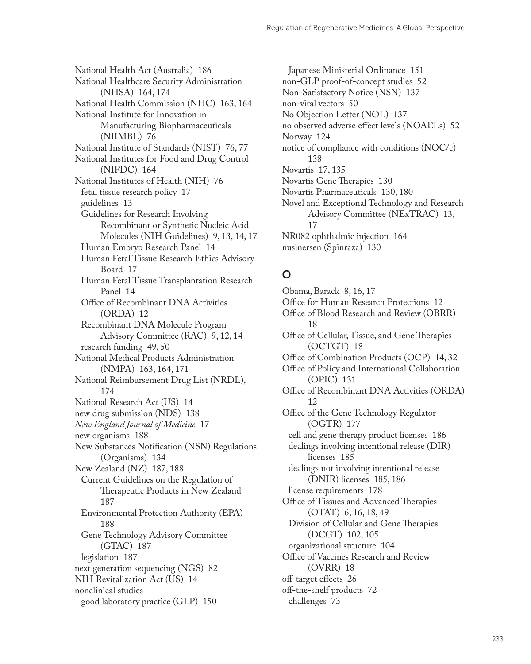National Health Act (Australia) [186](#page--1-0) National Healthcare Security Administration (NHSA) [164](#page--1-0), [174](#page--1-0) National Health Commission (NHC) [163, 164](#page--1-0) National Institute for Innovation in Manufacturing Biopharmaceuticals (NIIMBL) [76](#page--1-0) National Institute of Standards (NIST) [76,](#page--1-0) [77](#page--1-0) National Institutes for Food and Drug Control (NIFDC) [164](#page--1-0) National Institutes of Health (NIH) [76](#page--1-0) fetal tissue research policy [17](#page--1-0) guidelines [13](#page--1-0) Guidelines for Research Involving Recombinant or Synthetic Nucleic Acid Molecules (NIH Guidelines) [9, 13](#page--1-0), [14, 17](#page--1-0) Human Embryo Research Panel [14](#page--1-0) Human Fetal Tissue Research Ethics Advisory Board [17](#page--1-0) Human Fetal Tissue Transplantation Research Panel [14](#page--1-0) Office of Recombinant DNA Activities (ORDA) [12](#page--1-0) Recombinant DNA Molecule Program Advisory Committee (RAC) [9](#page--1-0), [12, 14](#page--1-0) research funding [49, 50](#page--1-0) National Medical Products Administration (NMPA) [163](#page--1-0), [164,](#page--1-0) [171](#page--1-0) National Reimbursement Drug List (NRDL), [174](#page--1-0) National Research Act (US) [14](#page--1-0) new drug submission (NDS) [138](#page--1-0) *New England Journal of Medicine* [17](#page--1-0) new organisms [188](#page--1-0) New Substances Notification (NSN) Regulations (Organisms) [134](#page--1-0) New Zealand (NZ) [187, 188](#page--1-0) Current Guidelines on the Regulation of Therapeutic Products in New Zealand [187](#page--1-0) Environmental Protection Authority (EPA) [188](#page--1-0) Gene Technology Advisory Committee (GTAC) [187](#page--1-0) legislation [187](#page--1-0) next generation sequencing (NGS) [82](#page--1-0) NIH Revitalization Act (US) [14](#page--1-0) nonclinical studies good laboratory practice (GLP) [150](#page--1-0)

Japanese Ministerial Ordinance [151](#page--1-0) non-GLP proof-of-concept studies [52](#page--1-0) Non-Satisfactory Notice (NSN) [137](#page--1-0) non-viral vectors [50](#page--1-0) No Objection Letter (NOL) [137](#page--1-0) no observed adverse effect levels (NOAELs) [52](#page--1-0) Norway [124](#page--1-0) notice of compliance with conditions (NOC/c) [138](#page--1-0) Novartis [17,](#page--1-0) [135](#page--1-0) Novartis Gene Therapies [130](#page--1-0) Novartis Pharmaceuticals [130,](#page--1-0) [180](#page--1-0) Novel and Exceptional Technology and Research Advisory Committee (NExTRAC) [13,](#page--1-0) [17](#page--1-0) NR082 ophthalmic injection [164](#page--1-0) nusinersen (Spinraza) [130](#page--1-0)

#### **O**

Obama, Barack [8](#page--1-0), [16, 17](#page--1-0) Office for Human Research Protections [12](#page--1-0) Office of Blood Research and Review (OBRR) [18](#page--1-0) Office of Cellular, Tissue, and Gene Therapies (OCTGT) [18](#page--1-0) Office of Combination Products (OCP) [14, 32](#page--1-0) Office of Policy and International Collaboration (OPIC) [131](#page--1-0) Office of Recombinant DNA Activities (ORDA) [12](#page--1-0) Office of the Gene Technology Regulator (OGTR) [177](#page--1-0) cell and gene therapy product licenses [186](#page--1-0) dealings involving intentional release (DIR) licenses [185](#page--1-0) dealings not involving intentional release (DNIR) licenses [185](#page--1-0), [186](#page--1-0) license requirements [178](#page--1-0) Office of Tissues and Advanced Therapies (OTAT) [6, 16](#page--1-0), [18](#page--1-0), [49](#page--1-0) Division of Cellular and Gene Therapies (DCGT) [102](#page--1-0), [105](#page--1-0) organizational structure [104](#page--1-0) Office of Vaccines Research and Review (OVRR) [18](#page--1-0) off-target effects [26](#page--1-0) off-the-shelf products [72](#page--1-0) challenges [73](#page--1-0)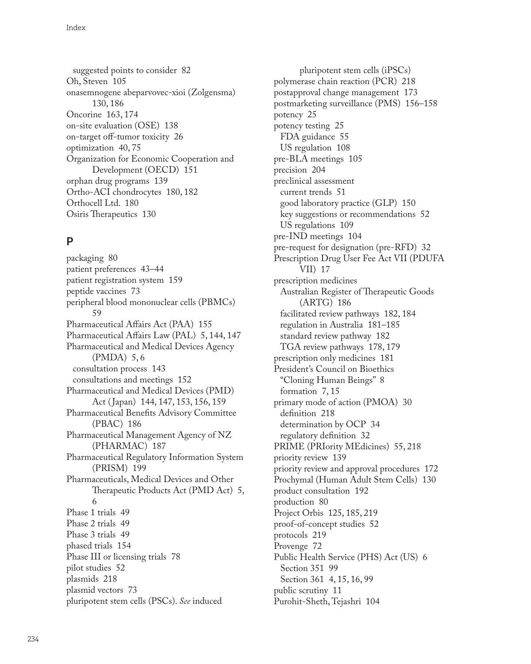suggested points to consider [82](#page--1-0) Oh, Steven [105](#page--1-0) onasemnogene abeparvovec-xioi (Zolgensma) [130](#page--1-0), [186](#page--1-0) Oncorine [163](#page--1-0), [174](#page--1-0) on-site evaluation (OSE) [138](#page--1-0) on-target off-tumor toxicity [26](#page--1-0) optimization [40,](#page--1-0) [75](#page--1-0) Organization for Economic Cooperation and Development (OECD) [151](#page--1-0) orphan drug programs [139](#page--1-0) Ortho-ACI chondrocytes [180](#page--1-0), [182](#page--1-0) Orthocell Ltd. [180](#page--1-0) Osiris Therapeutics [130](#page--1-0)

# **P**

packaging [80](#page--1-0) patient preferences [43–44](#page--1-0) patient registration system [159](#page--1-0) peptide vaccines [73](#page--1-0) peripheral blood mononuclear cells (PBMCs) [59](#page--1-0) Pharmaceutical Affairs Act (PAA) [155](#page--1-0) Pharmaceutical Affairs Law (PAL) [5, 144](#page--1-0), [147](#page--1-0) Pharmaceutical and Medical Devices Agency (PMDA) [5, 6](#page--1-0) consultation process [143](#page--1-0) consultations and meetings [152](#page--1-0) Pharmaceutical and Medical Devices (PMD) Act ( Japan) [144](#page--1-0), [147, 153](#page--1-0), [156, 159](#page--1-0) Pharmaceutical Benefits Advisory Committee (PBAC) [186](#page--1-0) Pharmaceutical Management Agency of NZ (PHARMAC) [187](#page--1-0) Pharmaceutical Regulatory Information System (PRISM) [199](#page--1-0) Pharmaceuticals, Medical Devices and Other Therapeutic Products Act (PMD Act) [5,](#page--1-0) [6](#page--1-0) Phase 1 trials [49](#page--1-0) Phase 2 trials [49](#page--1-0) Phase 3 trials [49](#page--1-0) phased trials [154](#page--1-0) Phase III or licensing trials [78](#page--1-0) pilot studies [52](#page--1-0) plasmids [218](#page--1-0) plasmid vectors [73](#page--1-0) pluripotent stem cells (PSCs). *See* induced

pluripotent stem cells (iPSCs) polymerase chain reaction (PCR) [218](#page--1-0) postapproval change management [173](#page--1-0) postmarketing surveillance (PMS) [156–158](#page--1-0) potency [25](#page--1-0) potency testing [25](#page--1-0) FDA guidance [55](#page--1-0) US regulation [108](#page--1-0) pre-BLA meetings [105](#page--1-0) precision [204](#page--1-0) preclinical assessment current trends [51](#page--1-0) good laboratory practice (GLP) [150](#page--1-0) key suggestions or recommendations [52](#page--1-0) US regulations [109](#page--1-0) pre-IND meetings [104](#page--1-0) pre-request for designation (pre-RFD) [32](#page--1-0) Prescription Drug User Fee Act VII (PDUFA VII) [17](#page--1-0) prescription medicines Australian Register of Therapeutic Goods (ARTG) [186](#page--1-0) facilitated review pathways [182,](#page--1-0) [184](#page--1-0) regulation in Australia [181–185](#page--1-0) standard review pathway [182](#page--1-0) TGA review pathways [178, 179](#page--1-0) prescription only medicines [181](#page--1-0) President's Council on Bioethics "Cloning Human Beings" [8](#page--1-0) formation [7](#page--1-0), [15](#page--1-0) primary mode of action (PMOA) [30](#page--1-0) definition [218](#page--1-0) determination by OCP [34](#page--1-0) regulatory definition [32](#page--1-0) PRIME (PRIority MEdicines) [55](#page--1-0), [218](#page--1-0) priority review [139](#page--1-0) priority review and approval procedures [172](#page--1-0) Prochymal (Human Adult Stem Cells) [130](#page--1-0) product consultation [192](#page--1-0) production [80](#page--1-0) Project Orbis [125, 185](#page--1-0), [219](#page--1-0) proof-of-concept studies [52](#page--1-0) protocols [219](#page--1-0) Provenge [72](#page--1-0) Public Health Service (PHS) Act (US) [6](#page--1-0) Section 351 [99](#page--1-0) Section 361 [4, 15](#page--1-0), [16](#page--1-0), [99](#page--1-0) public scrutiny [11](#page--1-0) Purohit-Sheth, Tejashri [104](#page--1-0)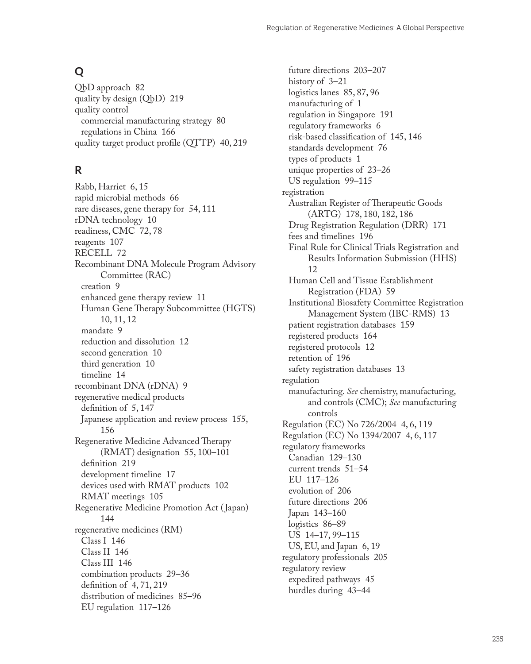# **Q**

QbD approach [82](#page--1-0) quality by design (QbD) [219](#page--1-0) quality control commercial manufacturing strategy [80](#page--1-0) regulations in China [166](#page--1-0) quality target product profile (QTTP) [40, 219](#page--1-0)

# **R**

Rabb, Harriet [6](#page--1-0), [15](#page--1-0) rapid microbial methods [66](#page--1-0) rare diseases, gene therapy for [54, 111](#page--1-0) rDNA technology [10](#page--1-0) readiness, CMC [72,](#page--1-0) [78](#page--1-0) reagents [107](#page--1-0) RECELL [72](#page--1-0) Recombinant DNA Molecule Program Advisory Committee (RAC) creation [9](#page--1-0) enhanced gene therapy review [11](#page--1-0) Human Gene Therapy Subcommittee (HGTS) [10](#page--1-0), [11](#page--1-0), [12](#page--1-0) mandate [9](#page--1-0) reduction and dissolution [12](#page--1-0) second generation [10](#page--1-0) third generation [10](#page--1-0) timeline [14](#page--1-0) recombinant DNA (rDNA) [9](#page--1-0) regenerative medical products definition of [5, 147](#page--1-0) Japanese application and review process [155,](#page--1-0) [156](#page--1-0) Regenerative Medicine Advanced Therapy (RMAT) designation [55](#page--1-0), [100–101](#page--1-0) definition [219](#page--1-0) development timeline [17](#page--1-0) devices used with RMAT products [102](#page--1-0) RMAT meetings [105](#page--1-0) Regenerative Medicine Promotion Act ( Japan) [144](#page--1-0) regenerative medicines (RM) Class I [146](#page--1-0) Class II [146](#page--1-0) Class III [146](#page--1-0) combination products [29–36](#page--1-0) definition of [4, 71](#page--1-0), [219](#page--1-0) distribution of medicines [85–96](#page--1-0) EU regulation [117–126](#page--1-0)

future directions [203–207](#page--1-0) history of [3–21](#page--1-0) logistics lanes [85, 87](#page--1-0), [96](#page--1-0) manufacturing of [1](#page--1-0) regulation in Singapore [191](#page--1-0) regulatory frameworks [6](#page--1-0) risk-based classification of [145](#page--1-0), [146](#page--1-0) standards development [76](#page--1-0) types of products [1](#page--1-0) unique properties of [23–26](#page--1-0) US regulation [99–115](#page--1-0) registration Australian Register of Therapeutic Goods (ARTG) [178](#page--1-0), [180](#page--1-0), [182, 186](#page--1-0) Drug Registration Regulation (DRR) [171](#page--1-0) fees and timelines [196](#page--1-0) Final Rule for Clinical Trials Registration and Results Information Submission (HHS) [12](#page--1-0) Human Cell and Tissue Establishment Registration (FDA) [59](#page--1-0) Institutional Biosafety Committee Registration Management System (IBC-RMS) [13](#page--1-0) patient registration databases [159](#page--1-0) registered products [164](#page--1-0) registered protocols [12](#page--1-0) retention of [196](#page--1-0) safety registration databases [13](#page--1-0) regulation manufacturing. *See* chemistry, manufacturing, and controls (CMC); *See* manufacturing controls Regulation (EC) No 726/2004 [4](#page--1-0), [6](#page--1-0), [119](#page--1-0) Regulation (EC) No 1394/2007 [4](#page--1-0), [6](#page--1-0), [117](#page--1-0) regulatory frameworks Canadian [129–130](#page--1-0) current trends [51–54](#page--1-0) EU [117–126](#page--1-0) evolution of [206](#page--1-0) future directions [206](#page--1-0) Japan [143–160](#page--1-0) logistics [86–89](#page--1-0) US [14–17](#page--1-0), [99–115](#page--1-0) US, EU, and Japan [6, 19](#page--1-0) regulatory professionals [205](#page--1-0) regulatory review expedited pathways [45](#page--1-0) hurdles during [43–44](#page--1-0)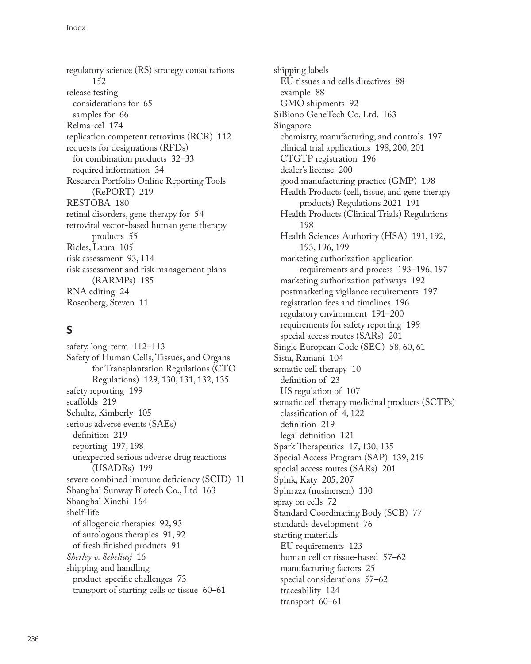regulatory science (RS) strategy consultations [152](#page--1-0) release testing considerations for [65](#page--1-0) samples for [66](#page--1-0) Relma-cel [174](#page--1-0) replication competent retrovirus (RCR) [112](#page--1-0) requests for designations (RFDs) for combination products [32–33](#page--1-0) required information [34](#page--1-0) Research Portfolio Online Reporting Tools (RePORT) [219](#page--1-0) RESTOBA [180](#page--1-0) retinal disorders, gene therapy for [54](#page--1-0) retroviral vector-based human gene therapy products [55](#page--1-0) Ricles, Laura [105](#page--1-0) risk assessment [93, 114](#page--1-0) risk assessment and risk management plans (RARMPs) [185](#page--1-0) RNA editing [24](#page--1-0) Rosenberg, Steven [11](#page--1-0)

## **S**

safety, long-term [112–113](#page--1-0) Safety of Human Cells, Tissues, and Organs for Transplantation Regulations (CTO Regulations) [129](#page--1-0), [130](#page--1-0), [131, 132](#page--1-0), [135](#page--1-0) safety reporting [199](#page--1-0) scaffolds [219](#page--1-0) Schultz, Kimberly [105](#page--1-0) serious adverse events (SAEs) definition [219](#page--1-0) reporting [197](#page--1-0), [198](#page--1-0) unexpected serious adverse drug reactions (USADRs) [199](#page--1-0) severe combined immune deficiency (SCID) [11](#page--1-0) Shanghai Sunway Biotech Co., Ltd [163](#page--1-0) Shanghai Xinzhi [164](#page--1-0) shelf-life of allogeneic therapies [92](#page--1-0), [93](#page--1-0) of autologous therapies [91, 92](#page--1-0) of fresh finished products [91](#page--1-0) *Sherley v. Sebeliusj* [16](#page--1-0) shipping and handling product-specific challenges [73](#page--1-0) transport of starting cells or tissue [60–61](#page--1-0)

shipping labels EU tissues and cells directives [88](#page--1-0) example [88](#page--1-0) GMO shipments [92](#page--1-0) SiBiono GeneTech Co. Ltd. [163](#page--1-0) Singapore chemistry, manufacturing, and controls [197](#page--1-0) clinical trial applications [198, 200](#page--1-0), [201](#page--1-0) CTGTP registration [196](#page--1-0) dealer's license [200](#page--1-0) good manufacturing practice (GMP) [198](#page--1-0) Health Products (cell, tissue, and gene therapy products) Regulations 2021 [191](#page--1-0) Health Products (Clinical Trials) Regulations [198](#page--1-0) Health Sciences Authority (HSA) [191, 192](#page--1-0), [193](#page--1-0), [196](#page--1-0), [199](#page--1-0) marketing authorization application requirements and process [193–196](#page--1-0), [197](#page--1-0) marketing authorization pathways [192](#page--1-0) postmarketing vigilance requirements [197](#page--1-0) registration fees and timelines [196](#page--1-0) regulatory environment [191–200](#page--1-0) requirements for safety reporting [199](#page--1-0) special access routes (SARs) [201](#page--1-0) Single European Code (SEC) [58,](#page--1-0) [60, 61](#page--1-0) Sista, Ramani [104](#page--1-0) somatic cell therapy [10](#page--1-0) definition of [23](#page--1-0) US regulation of [107](#page--1-0) somatic cell therapy medicinal products (SCTPs) classification of [4, 122](#page--1-0) definition [219](#page--1-0) legal definition [121](#page--1-0) Spark Therapeutics [17](#page--1-0), [130, 135](#page--1-0) Special Access Program (SAP) [139, 219](#page--1-0) special access routes (SARs) [201](#page--1-0) Spink, Katy [205](#page--1-0), [207](#page--1-0) Spinraza (nusinersen) [130](#page--1-0) spray on cells [72](#page--1-0) Standard Coordinating Body (SCB) [77](#page--1-0) standards development [76](#page--1-0) starting materials EU requirements [123](#page--1-0) human cell or tissue-based [57–62](#page--1-0) manufacturing factors [25](#page--1-0) special considerations [57–62](#page--1-0) traceability [124](#page--1-0) transport [60–61](#page--1-0)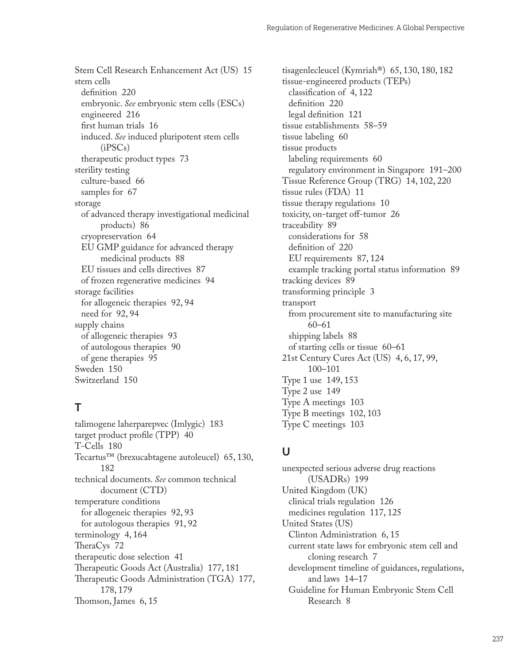Stem Cell Research Enhancement Act (US) [15](#page--1-0) stem cells definition [220](#page--1-0) embryonic. *See* embryonic stem cells (ESCs) engineered [216](#page--1-0) first human trials [16](#page--1-0) induced. *See* induced pluripotent stem cells (iPSCs) therapeutic product types [73](#page--1-0) sterility testing culture-based [66](#page--1-0) samples for [67](#page--1-0) storage of advanced therapy investigational medicinal products) [86](#page--1-0) cryopreservation [64](#page--1-0) EU GMP guidance for advanced therapy medicinal products [88](#page--1-0) EU tissues and cells directives [87](#page--1-0) of frozen regenerative medicines [94](#page--1-0) storage facilities for allogeneic therapies [92, 94](#page--1-0) need for [92](#page--1-0), [94](#page--1-0) supply chains of allogeneic therapies [93](#page--1-0) of autologous therapies [90](#page--1-0) of gene therapies [95](#page--1-0) Sweden [150](#page--1-0) Switzerland [150](#page--1-0)

### **T**

talimogene laherparepvec (Imlygic) [183](#page--1-0) target product profile (TPP) [40](#page--1-0) T-Cells [180](#page--1-0) Tecartus™ (brexucabtagene autoleucel) [65, 130](#page--1-0), [182](#page--1-0) technical documents. *See* common technical document (CTD) temperature conditions for allogeneic therapies [92, 93](#page--1-0) for autologous therapies [91](#page--1-0), [92](#page--1-0) terminology [4](#page--1-0), [164](#page--1-0) TheraCys [72](#page--1-0) therapeutic dose selection [41](#page--1-0) Therapeutic Goods Act (Australia) [177](#page--1-0), [181](#page--1-0) Therapeutic Goods Administration (TGA) [177](#page--1-0), [178](#page--1-0), [179](#page--1-0) Thomson, James [6,](#page--1-0) [15](#page--1-0)

tisagenlecleucel (Kymriah®) [65](#page--1-0), [130, 180](#page--1-0), [182](#page--1-0) tissue-engineered products (TEPs) classification of [4, 122](#page--1-0) definition [220](#page--1-0) legal definition [121](#page--1-0) tissue establishments [58–59](#page--1-0) tissue labeling [60](#page--1-0) tissue products labeling requirements [60](#page--1-0) regulatory environment in Singapore [191–200](#page--1-0) Tissue Reference Group (TRG) [14](#page--1-0), [102, 220](#page--1-0) tissue rules (FDA) [11](#page--1-0) tissue therapy regulations [10](#page--1-0) toxicity, on-target off-tumor [26](#page--1-0) traceability [89](#page--1-0) considerations for [58](#page--1-0) definition of [220](#page--1-0) EU requirements [87](#page--1-0), [124](#page--1-0) example tracking portal status information [89](#page--1-0) tracking devices [89](#page--1-0) transforming principle [3](#page--1-0) transport from procurement site to manufacturing site [60](#page--1-0)–[61](#page--1-0) shipping labels [88](#page--1-0) of starting cells or tissue [60–61](#page--1-0) 21st Century Cures Act (US) [4](#page--1-0), [6,](#page--1-0) [17, 99](#page--1-0), [100](#page--1-0)–[101](#page--1-0) Type 1 use [149](#page--1-0), [153](#page--1-0) Type 2 use [149](#page--1-0) Type A meetings [103](#page--1-0) Type B meetings [102](#page--1-0), [103](#page--1-0) Type C meetings [103](#page--1-0)

### **U**

unexpected serious adverse drug reactions (USADRs) [199](#page--1-0) United Kingdom (UK) clinical trials regulation [126](#page--1-0) medicines regulation [117](#page--1-0), [125](#page--1-0) United States (US) Clinton Administration [6, 15](#page--1-0) current state laws for embryonic stem cell and cloning research [7](#page--1-0) development timeline of guidances, regulations, and laws [14–17](#page--1-0) Guideline for Human Embryonic Stem Cell Research [8](#page--1-0)